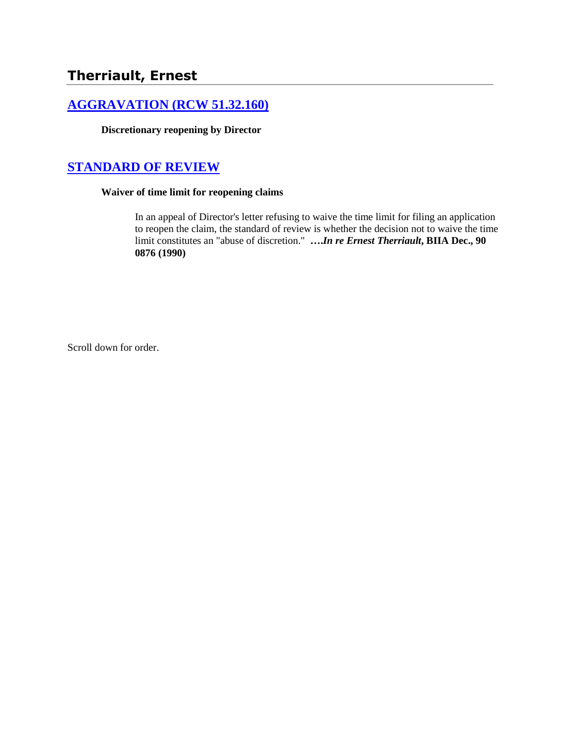# **Therriault, Ernest**

## **[AGGRAVATION \(RCW 51.32.160\)](http://www.biia.wa.gov/SDSubjectIndex.html#AGGRAVATION)**

**Discretionary reopening by Director** 

# **[STANDARD OF REVIEW](http://www.biia.wa.gov/SDSubjectIndex.html#STANDARD_OF_REVIEW)**

## **Waiver of time limit for reopening claims**

In an appeal of Director's letter refusing to waive the time limit for filing an application to reopen the claim, the standard of review is whether the decision not to waive the time limit constitutes an "abuse of discretion." **….***In re Ernest Therriault***, BIIA Dec., 90 0876 (1990)** 

Scroll down for order.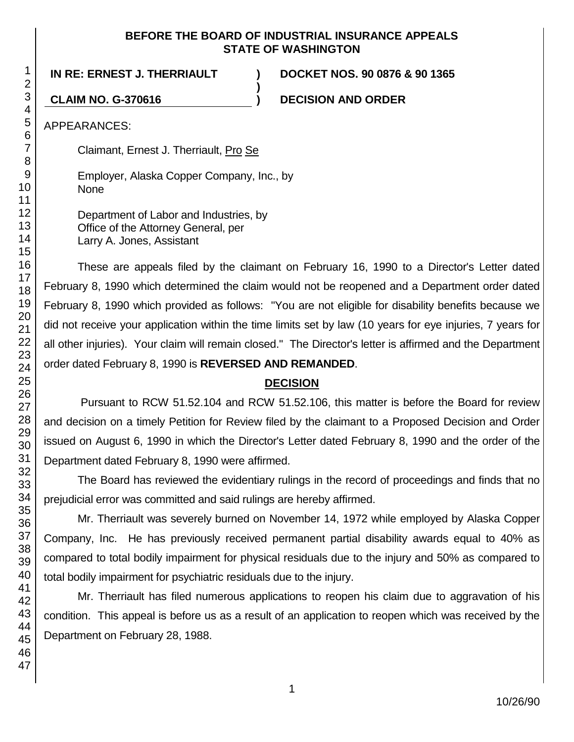#### **BEFORE THE BOARD OF INDUSTRIAL INSURANCE APPEALS STATE OF WASHINGTON**

**)**

**IN RE: ERNEST J. THERRIAULT ) DOCKET NOS. 90 0876 & 90 1365**

**CLAIM NO. G-370616 ) DECISION AND ORDER**

APPEARANCES:

Claimant, Ernest J. Therriault, Pro Se

Employer, Alaska Copper Company, Inc., by None

Department of Labor and Industries, by Office of the Attorney General, per Larry A. Jones, Assistant

These are appeals filed by the claimant on February 16, 1990 to a Director's Letter dated February 8, 1990 which determined the claim would not be reopened and a Department order dated February 8, 1990 which provided as follows: "You are not eligible for disability benefits because we did not receive your application within the time limits set by law (10 years for eye injuries, 7 years for all other injuries). Your claim will remain closed." The Director's letter is affirmed and the Department order dated February 8, 1990 is **REVERSED AND REMANDED**.

## **DECISION**

Pursuant to RCW 51.52.104 and RCW 51.52.106, this matter is before the Board for review and decision on a timely Petition for Review filed by the claimant to a Proposed Decision and Order issued on August 6, 1990 in which the Director's Letter dated February 8, 1990 and the order of the Department dated February 8, 1990 were affirmed.

The Board has reviewed the evidentiary rulings in the record of proceedings and finds that no prejudicial error was committed and said rulings are hereby affirmed.

Mr. Therriault was severely burned on November 14, 1972 while employed by Alaska Copper Company, Inc. He has previously received permanent partial disability awards equal to 40% as compared to total bodily impairment for physical residuals due to the injury and 50% as compared to total bodily impairment for psychiatric residuals due to the injury.

Mr. Therriault has filed numerous applications to reopen his claim due to aggravation of his condition. This appeal is before us as a result of an application to reopen which was received by the Department on February 28, 1988.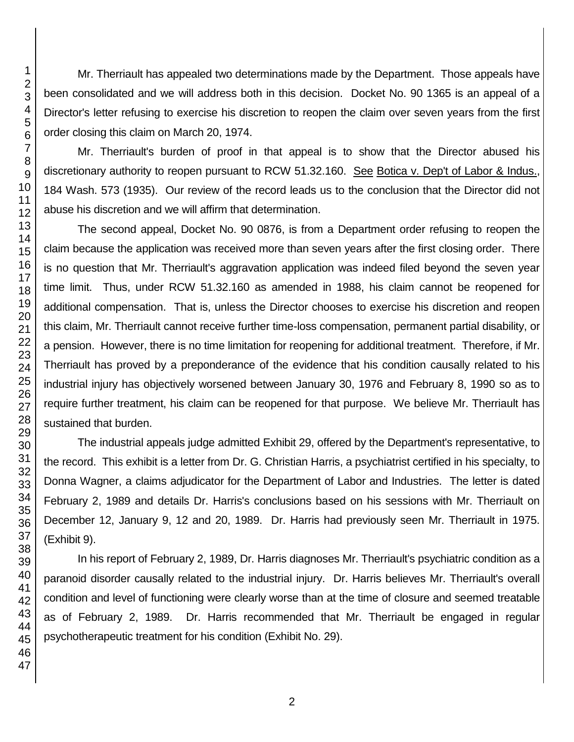Mr. Therriault has appealed two determinations made by the Department. Those appeals have been consolidated and we will address both in this decision. Docket No. 90 1365 is an appeal of a Director's letter refusing to exercise his discretion to reopen the claim over seven years from the first order closing this claim on March 20, 1974.

Mr. Therriault's burden of proof in that appeal is to show that the Director abused his discretionary authority to reopen pursuant to RCW 51.32.160. See Botica v. Dep't of Labor & Indus., 184 Wash. 573 (1935). Our review of the record leads us to the conclusion that the Director did not abuse his discretion and we will affirm that determination.

The second appeal, Docket No. 90 0876, is from a Department order refusing to reopen the claim because the application was received more than seven years after the first closing order. There is no question that Mr. Therriault's aggravation application was indeed filed beyond the seven year time limit. Thus, under RCW 51.32.160 as amended in 1988, his claim cannot be reopened for additional compensation. That is, unless the Director chooses to exercise his discretion and reopen this claim, Mr. Therriault cannot receive further time-loss compensation, permanent partial disability, or a pension. However, there is no time limitation for reopening for additional treatment. Therefore, if Mr. Therriault has proved by a preponderance of the evidence that his condition causally related to his industrial injury has objectively worsened between January 30, 1976 and February 8, 1990 so as to require further treatment, his claim can be reopened for that purpose. We believe Mr. Therriault has sustained that burden.

The industrial appeals judge admitted Exhibit 29, offered by the Department's representative, to the record. This exhibit is a letter from Dr. G. Christian Harris, a psychiatrist certified in his specialty, to Donna Wagner, a claims adjudicator for the Department of Labor and Industries. The letter is dated February 2, 1989 and details Dr. Harris's conclusions based on his sessions with Mr. Therriault on December 12, January 9, 12 and 20, 1989. Dr. Harris had previously seen Mr. Therriault in 1975. (Exhibit 9).

In his report of February 2, 1989, Dr. Harris diagnoses Mr. Therriault's psychiatric condition as a paranoid disorder causally related to the industrial injury. Dr. Harris believes Mr. Therriault's overall condition and level of functioning were clearly worse than at the time of closure and seemed treatable as of February 2, 1989. Dr. Harris recommended that Mr. Therriault be engaged in regular psychotherapeutic treatment for his condition (Exhibit No. 29).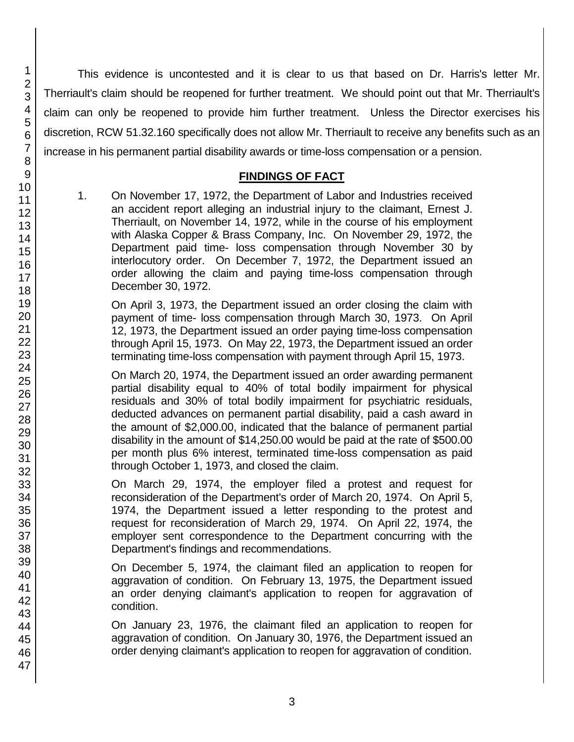This evidence is uncontested and it is clear to us that based on Dr. Harris's letter Mr. Therriault's claim should be reopened for further treatment. We should point out that Mr. Therriault's claim can only be reopened to provide him further treatment. Unless the Director exercises his discretion, RCW 51.32.160 specifically does not allow Mr. Therriault to receive any benefits such as an increase in his permanent partial disability awards or time-loss compensation or a pension.

## **FINDINGS OF FACT**

1. On November 17, 1972, the Department of Labor and Industries received an accident report alleging an industrial injury to the claimant, Ernest J. Therriault, on November 14, 1972, while in the course of his employment with Alaska Copper & Brass Company, Inc. On November 29, 1972, the Department paid time- loss compensation through November 30 by interlocutory order. On December 7, 1972, the Department issued an order allowing the claim and paying time-loss compensation through December 30, 1972.

On April 3, 1973, the Department issued an order closing the claim with payment of time- loss compensation through March 30, 1973. On April 12, 1973, the Department issued an order paying time-loss compensation through April 15, 1973. On May 22, 1973, the Department issued an order terminating time-loss compensation with payment through April 15, 1973.

On March 20, 1974, the Department issued an order awarding permanent partial disability equal to 40% of total bodily impairment for physical residuals and 30% of total bodily impairment for psychiatric residuals, deducted advances on permanent partial disability, paid a cash award in the amount of \$2,000.00, indicated that the balance of permanent partial disability in the amount of \$14,250.00 would be paid at the rate of \$500.00 per month plus 6% interest, terminated time-loss compensation as paid through October 1, 1973, and closed the claim.

On March 29, 1974, the employer filed a protest and request for reconsideration of the Department's order of March 20, 1974. On April 5, 1974, the Department issued a letter responding to the protest and request for reconsideration of March 29, 1974. On April 22, 1974, the employer sent correspondence to the Department concurring with the Department's findings and recommendations.

On December 5, 1974, the claimant filed an application to reopen for aggravation of condition. On February 13, 1975, the Department issued an order denying claimant's application to reopen for aggravation of condition.

On January 23, 1976, the claimant filed an application to reopen for aggravation of condition. On January 30, 1976, the Department issued an order denying claimant's application to reopen for aggravation of condition.

1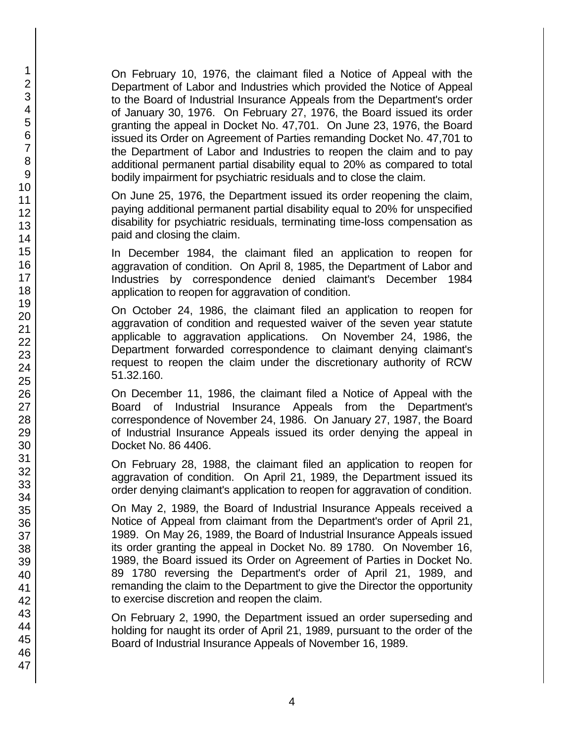On February 10, 1976, the claimant filed a Notice of Appeal with the Department of Labor and Industries which provided the Notice of Appeal to the Board of Industrial Insurance Appeals from the Department's order of January 30, 1976. On February 27, 1976, the Board issued its order granting the appeal in Docket No. 47,701. On June 23, 1976, the Board issued its Order on Agreement of Parties remanding Docket No. 47,701 to the Department of Labor and Industries to reopen the claim and to pay additional permanent partial disability equal to 20% as compared to total bodily impairment for psychiatric residuals and to close the claim.

On June 25, 1976, the Department issued its order reopening the claim, paying additional permanent partial disability equal to 20% for unspecified disability for psychiatric residuals, terminating time-loss compensation as paid and closing the claim.

In December 1984, the claimant filed an application to reopen for aggravation of condition. On April 8, 1985, the Department of Labor and Industries by correspondence denied claimant's December 1984 application to reopen for aggravation of condition.

On October 24, 1986, the claimant filed an application to reopen for aggravation of condition and requested waiver of the seven year statute applicable to aggravation applications. On November 24, 1986, the Department forwarded correspondence to claimant denying claimant's request to reopen the claim under the discretionary authority of RCW 51.32.160.

On December 11, 1986, the claimant filed a Notice of Appeal with the Board of Industrial Insurance Appeals from the Department's correspondence of November 24, 1986. On January 27, 1987, the Board of Industrial Insurance Appeals issued its order denying the appeal in Docket No. 86 4406.

On February 28, 1988, the claimant filed an application to reopen for aggravation of condition. On April 21, 1989, the Department issued its order denying claimant's application to reopen for aggravation of condition.

On May 2, 1989, the Board of Industrial Insurance Appeals received a Notice of Appeal from claimant from the Department's order of April 21, 1989. On May 26, 1989, the Board of Industrial Insurance Appeals issued its order granting the appeal in Docket No. 89 1780. On November 16, 1989, the Board issued its Order on Agreement of Parties in Docket No. 89 1780 reversing the Department's order of April 21, 1989, and remanding the claim to the Department to give the Director the opportunity to exercise discretion and reopen the claim.

On February 2, 1990, the Department issued an order superseding and holding for naught its order of April 21, 1989, pursuant to the order of the Board of Industrial Insurance Appeals of November 16, 1989.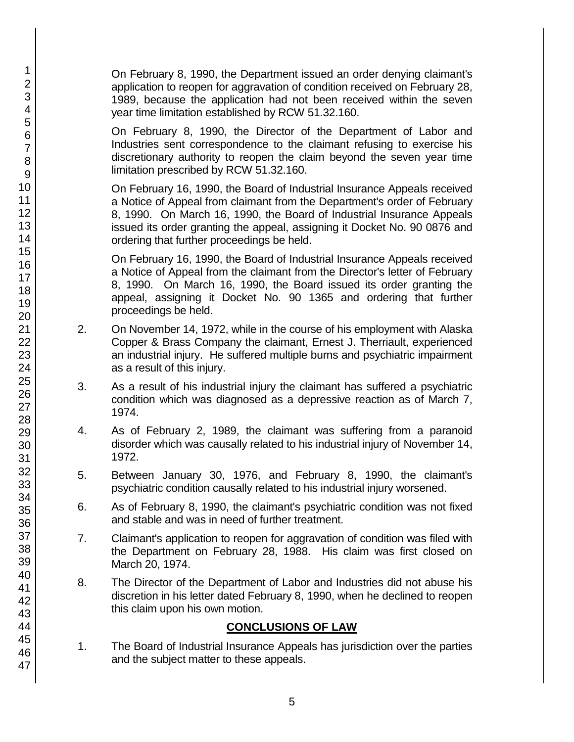On February 8, 1990, the Department issued an order denying claimant's application to reopen for aggravation of condition received on February 28, 1989, because the application had not been received within the seven year time limitation established by RCW 51.32.160.

On February 8, 1990, the Director of the Department of Labor and Industries sent correspondence to the claimant refusing to exercise his discretionary authority to reopen the claim beyond the seven year time limitation prescribed by RCW 51.32.160.

On February 16, 1990, the Board of Industrial Insurance Appeals received a Notice of Appeal from claimant from the Department's order of February 8, 1990. On March 16, 1990, the Board of Industrial Insurance Appeals issued its order granting the appeal, assigning it Docket No. 90 0876 and ordering that further proceedings be held.

On February 16, 1990, the Board of Industrial Insurance Appeals received a Notice of Appeal from the claimant from the Director's letter of February 8, 1990. On March 16, 1990, the Board issued its order granting the appeal, assigning it Docket No. 90 1365 and ordering that further proceedings be held.

- 2. On November 14, 1972, while in the course of his employment with Alaska Copper & Brass Company the claimant, Ernest J. Therriault, experienced an industrial injury. He suffered multiple burns and psychiatric impairment as a result of this injury.
- 3. As a result of his industrial injury the claimant has suffered a psychiatric condition which was diagnosed as a depressive reaction as of March 7, 1974.
- 4. As of February 2, 1989, the claimant was suffering from a paranoid disorder which was causally related to his industrial injury of November 14, 1972.
- 5. Between January 30, 1976, and February 8, 1990, the claimant's psychiatric condition causally related to his industrial injury worsened.
- 6. As of February 8, 1990, the claimant's psychiatric condition was not fixed and stable and was in need of further treatment.
- 7. Claimant's application to reopen for aggravation of condition was filed with the Department on February 28, 1988. His claim was first closed on March 20, 1974.
- 8. The Director of the Department of Labor and Industries did not abuse his discretion in his letter dated February 8, 1990, when he declined to reopen this claim upon his own motion.

### **CONCLUSIONS OF LAW**

1. The Board of Industrial Insurance Appeals has jurisdiction over the parties and the subject matter to these appeals.